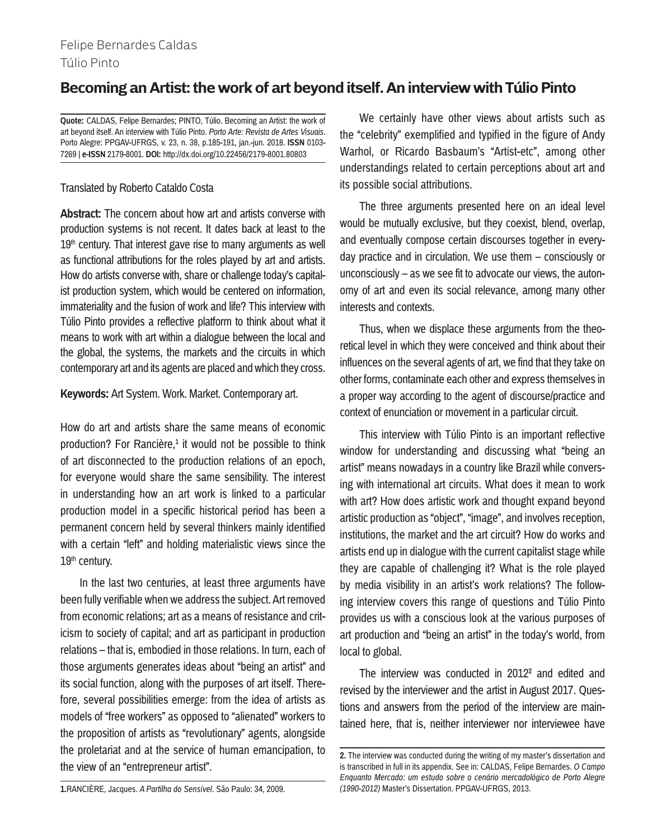## Felipe Bernardes Caldas Túlio Pinto

# **Becoming an Artist: the work of art beyond itself. An interview with Túlio Pinto**

**Quote:** CALDAS, Felipe Bernardes; PINTO, Túlio. Becoming an Artist: the work of art beyond itself. An interview with Túlio Pinto. *Porto Arte: Revista de Artes Visuais*. Porto Alegre: PPGAV-UFRGS, v. 23, n. 38, p.185-191, jan.-jun. 2018. **ISSN** 0103- 7269 | **e-ISSN** 2179-8001. **DOI:** http://dx.doi.org/10.22456/2179-8001.80803

## Translated by Roberto Cataldo Costa

**Abstract:** The concern about how art and artists converse with production systems is not recent. It dates back at least to the  $19<sup>th</sup>$  century. That interest gave rise to many arguments as well as functional attributions for the roles played by art and artists. How do artists converse with, share or challenge today's capitalist production system, which would be centered on information, immateriality and the fusion of work and life? This interview with Túlio Pinto provides a reflective platform to think about what it means to work with art within a dialogue between the local and the global, the systems, the markets and the circuits in which contemporary art and its agents are placed and which they cross.

**Keywords:** Art System. Work. Market. Contemporary art.

How do art and artists share the same means of economic production? For Rancière, $1$  it would not be possible to think of art disconnected to the production relations of an epoch, for everyone would share the same sensibility. The interest in understanding how an art work is linked to a particular production model in a specific historical period has been a permanent concern held by several thinkers mainly identified with a certain "left" and holding materialistic views since the 19<sup>th</sup> century.

In the last two centuries, at least three arguments have been fully verifiable when we address the subject. Art removed from economic relations; art as a means of resistance and criticism to society of capital; and art as participant in production relations – that is, embodied in those relations. In turn, each of those arguments generates ideas about "being an artist" and its social function, along with the purposes of art itself. Therefore, several possibilities emerge: from the idea of artists as models of "free workers" as opposed to "alienated" workers to the proposition of artists as "revolutionary" agents, alongside the proletariat and at the service of human emancipation, to the view of an "entrepreneur artist".

We certainly have other views about artists such as the "celebrity" exemplified and typified in the figure of Andy Warhol, or Ricardo Basbaum's "Artist-etc", among other understandings related to certain perceptions about art and its possible social attributions.

The three arguments presented here on an ideal level would be mutually exclusive, but they coexist, blend, overlap, and eventually compose certain discourses together in everyday practice and in circulation. We use them – consciously or unconsciously – as we see fit to advocate our views, the autonomy of art and even its social relevance, among many other interests and contexts.

Thus, when we displace these arguments from the theoretical level in which they were conceived and think about their influences on the several agents of art, we find that they take on other forms, contaminate each other and express themselves in a proper way according to the agent of discourse/practice and context of enunciation or movement in a particular circuit.

This interview with Túlio Pinto is an important reflective window for understanding and discussing what "being an artist" means nowadays in a country like Brazil while conversing with international art circuits. What does it mean to work with art? How does artistic work and thought expand beyond artistic production as "object", "image", and involves reception, institutions, the market and the art circuit? How do works and artists end up in dialogue with the current capitalist stage while they are capable of challenging it? What is the role played by media visibility in an artist's work relations? The following interview covers this range of questions and Túlio Pinto provides us with a conscious look at the various purposes of art production and "being an artist" in the today's world, from local to global.

The interview was conducted in 2012<sup>2</sup> and edited and revised by the interviewer and the artist in August 2017. Questions and answers from the period of the interview are maintained here, that is, neither interviewer nor interviewee have

**1.**RANCIÈRE, Jacques. *A Partilha do Sensível*. São Paulo: 34, 2009.

**<sup>2.</sup>** The interview was conducted during the writing of my master's dissertation and is transcribed in full in its appendix. See in: CALDAS, Felipe Bernardes. *O Campo Enquanto Mercado: um estudo sobre o cenário mercadológico de Porto Alegre (1990-2012)* Master's Dissertation. PPGAV-UFRGS, 2013.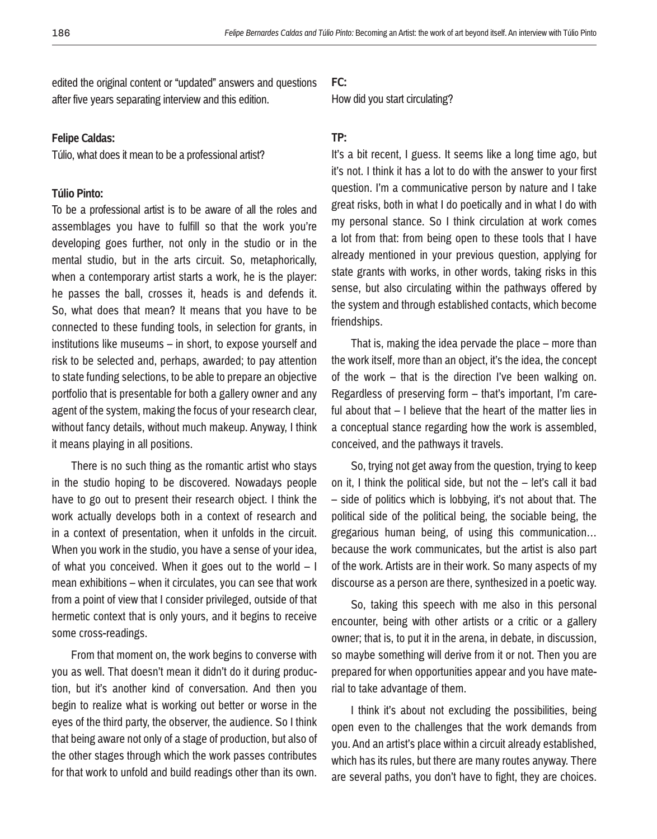edited the original content or "updated" answers and questions after five years separating interview and this edition.

#### **Felipe Caldas:**

Túlio, what does it mean to be a professional artist?

#### **Túlio Pinto:**

To be a professional artist is to be aware of all the roles and assemblages you have to fulfill so that the work you're developing goes further, not only in the studio or in the mental studio, but in the arts circuit. So, metaphorically, when a contemporary artist starts a work, he is the player: he passes the ball, crosses it, heads is and defends it. So, what does that mean? It means that you have to be connected to these funding tools, in selection for grants, in institutions like museums – in short, to expose yourself and risk to be selected and, perhaps, awarded; to pay attention to state funding selections, to be able to prepare an objective portfolio that is presentable for both a gallery owner and any agent of the system, making the focus of your research clear, without fancy details, without much makeup. Anyway, I think it means playing in all positions.

There is no such thing as the romantic artist who stays in the studio hoping to be discovered. Nowadays people have to go out to present their research object. I think the work actually develops both in a context of research and in a context of presentation, when it unfolds in the circuit. When you work in the studio, you have a sense of your idea, of what you conceived. When it goes out to the world  $-1$ mean exhibitions – when it circulates, you can see that work from a point of view that I consider privileged, outside of that hermetic context that is only yours, and it begins to receive some cross-readings.

From that moment on, the work begins to converse with you as well. That doesn't mean it didn't do it during production, but it's another kind of conversation. And then you begin to realize what is working out better or worse in the eyes of the third party, the observer, the audience. So I think that being aware not only of a stage of production, but also of the other stages through which the work passes contributes for that work to unfold and build readings other than its own.

#### **FC:**

How did you start circulating?

## **TP:**

It's a bit recent, I guess. It seems like a long time ago, but it's not. I think it has a lot to do with the answer to your first question. I'm a communicative person by nature and I take great risks, both in what I do poetically and in what I do with my personal stance. So I think circulation at work comes a lot from that: from being open to these tools that I have already mentioned in your previous question, applying for state grants with works, in other words, taking risks in this sense, but also circulating within the pathways offered by the system and through established contacts, which become friendships.

That is, making the idea pervade the place – more than the work itself, more than an object, it's the idea, the concept of the work – that is the direction I've been walking on. Regardless of preserving form – that's important, I'm careful about that – I believe that the heart of the matter lies in a conceptual stance regarding how the work is assembled, conceived, and the pathways it travels.

So, trying not get away from the question, trying to keep on it, I think the political side, but not the – let's call it bad – side of politics which is lobbying, it's not about that. The political side of the political being, the sociable being, the gregarious human being, of using this communication… because the work communicates, but the artist is also part of the work. Artists are in their work. So many aspects of my discourse as a person are there, synthesized in a poetic way.

So, taking this speech with me also in this personal encounter, being with other artists or a critic or a gallery owner; that is, to put it in the arena, in debate, in discussion, so maybe something will derive from it or not. Then you are prepared for when opportunities appear and you have material to take advantage of them.

I think it's about not excluding the possibilities, being open even to the challenges that the work demands from you. And an artist's place within a circuit already established, which has its rules, but there are many routes anyway. There are several paths, you don't have to fight, they are choices.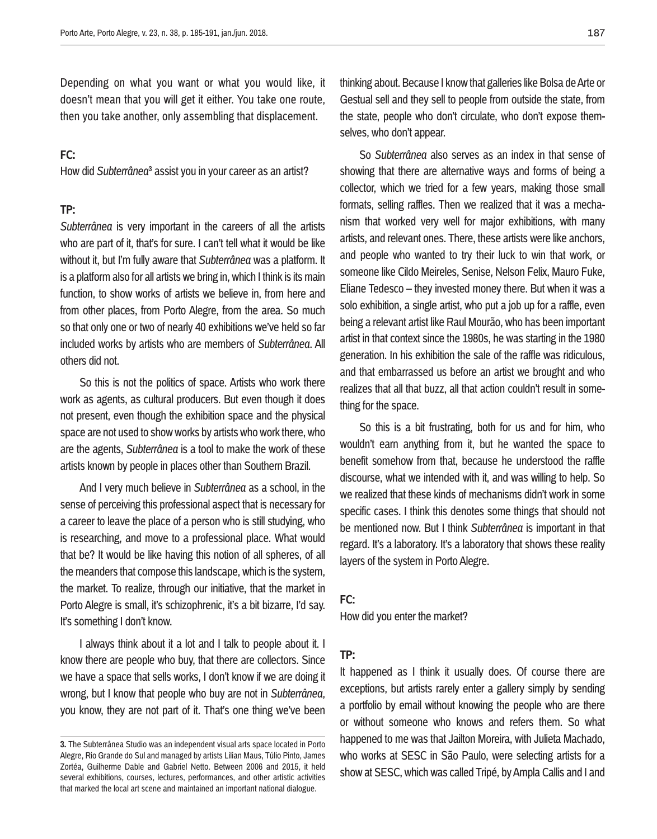Depending on what you want or what you would like, it doesn't mean that you will get it either. You take one route, then you take another, only assembling that displacement.

## **FC:**

How did *Subterrânea*3 assist you in your career as an artist?

#### **TP:**

*Subterrânea* is very important in the careers of all the artists who are part of it, that's for sure. I can't tell what it would be like without it, but I'm fully aware that *Subterrânea* was a platform. It is a platform also for all artists we bring in, which I think is its main function, to show works of artists we believe in, from here and from other places, from Porto Alegre, from the area. So much so that only one or two of nearly 40 exhibitions we've held so far included works by artists who are members of *Subterrânea*. All others did not.

So this is not the politics of space. Artists who work there work as agents, as cultural producers. But even though it does not present, even though the exhibition space and the physical space are not used to show works by artists who work there, who are the agents, *Subterrânea* is a tool to make the work of these artists known by people in places other than Southern Brazil.

And I very much believe in *Subterrânea* as a school, in the sense of perceiving this professional aspect that is necessary for a career to leave the place of a person who is still studying, who is researching, and move to a professional place. What would that be? It would be like having this notion of all spheres, of all the meanders that compose this landscape, which is the system, the market. To realize, through our initiative, that the market in Porto Alegre is small, it's schizophrenic, it's a bit bizarre, I'd say. It's something I don't know.

I always think about it a lot and I talk to people about it. I know there are people who buy, that there are collectors. Since we have a space that sells works, I don't know if we are doing it wrong, but I know that people who buy are not in *Subterrânea*, you know, they are not part of it. That's one thing we've been thinking about. Because I know that galleries like Bolsa de Arte or Gestual sell and they sell to people from outside the state, from the state, people who don't circulate, who don't expose themselves, who don't appear.

So *Subterrânea* also serves as an index in that sense of showing that there are alternative ways and forms of being a collector, which we tried for a few years, making those small formats, selling raffles. Then we realized that it was a mechanism that worked very well for major exhibitions, with many artists, and relevant ones. There, these artists were like anchors, and people who wanted to try their luck to win that work, or someone like Cildo Meireles, Senise, Nelson Felix, Mauro Fuke, Eliane Tedesco – they invested money there. But when it was a solo exhibition, a single artist, who put a job up for a raffle, even being a relevant artist like Raul Mourão, who has been important artist in that context since the 1980s, he was starting in the 1980 generation. In his exhibition the sale of the raffle was ridiculous, and that embarrassed us before an artist we brought and who realizes that all that buzz, all that action couldn't result in something for the space.

So this is a bit frustrating, both for us and for him, who wouldn't earn anything from it, but he wanted the space to benefit somehow from that, because he understood the raffle discourse, what we intended with it, and was willing to help. So we realized that these kinds of mechanisms didn't work in some specific cases. I think this denotes some things that should not be mentioned now. But I think *Subterrânea* is important in that regard. It's a laboratory. It's a laboratory that shows these reality layers of the system in Porto Alegre.

#### **FC:**

How did you enter the market?

#### **TP:**

It happened as I think it usually does. Of course there are exceptions, but artists rarely enter a gallery simply by sending a portfolio by email without knowing the people who are there or without someone who knows and refers them. So what happened to me was that Jailton Moreira, with Julieta Machado, who works at SESC in São Paulo, were selecting artists for a show at SESC, which was called Tripé, by Ampla Callis and I and

**<sup>3.</sup>** The Subterrânea Studio was an independent visual arts space located in Porto Alegre, Rio Grande do Sul and managed by artists Lilian Maus, Túlio Pinto, James Zortéa, Guilherme Dable and Gabriel Netto. Between 2006 and 2015, it held several exhibitions, courses, lectures, performances, and other artistic activities that marked the local art scene and maintained an important national dialogue.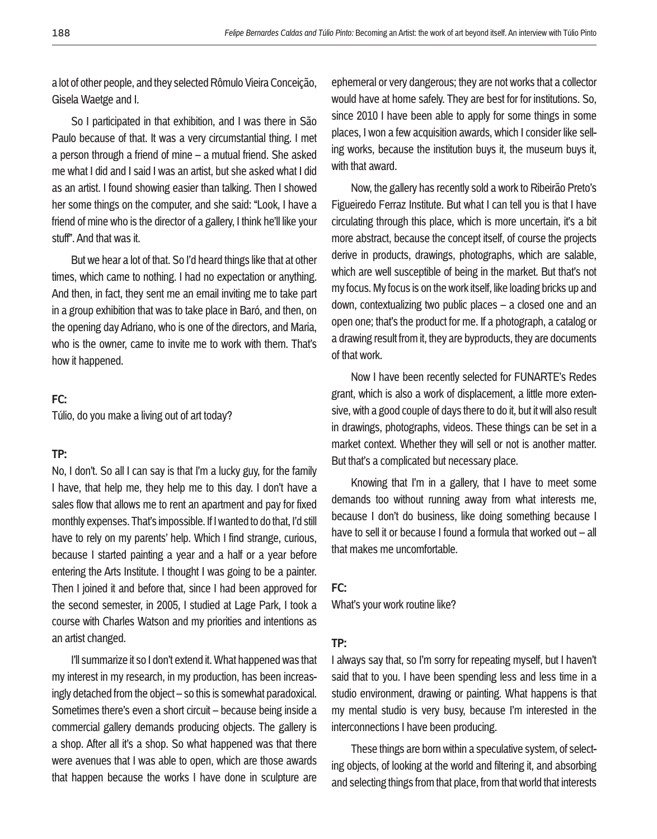a lot of other people, and they selected Rômulo Vieira Conceição, Gisela Waetge and I.

So I participated in that exhibition, and I was there in São Paulo because of that. It was a very circumstantial thing. I met a person through a friend of mine – a mutual friend. She asked me what I did and I said I was an artist, but she asked what I did as an artist. I found showing easier than talking. Then I showed her some things on the computer, and she said: "Look, I have a friend of mine who is the director of a gallery, I think he'll like your stuff". And that was it.

But we hear a lot of that. So I'd heard things like that at other times, which came to nothing. I had no expectation or anything. And then, in fact, they sent me an email inviting me to take part in a group exhibition that was to take place in Baró, and then, on the opening day Adriano, who is one of the directors, and Maria, who is the owner, came to invite me to work with them. That's how it happened.

## **FC:**

Túlio, do you make a living out of art today?

#### **TP:**

No, I don't. So all I can say is that I'm a lucky guy, for the family I have, that help me, they help me to this day. I don't have a sales flow that allows me to rent an apartment and pay for fixed monthly expenses. That's impossible. If I wanted to do that, I'd still have to rely on my parents' help. Which I find strange, curious, because I started painting a year and a half or a year before entering the Arts Institute. I thought I was going to be a painter. Then I joined it and before that, since I had been approved for the second semester, in 2005, I studied at Lage Park, I took a course with Charles Watson and my priorities and intentions as an artist changed.

I'll summarize it so I don't extend it. What happened was that my interest in my research, in my production, has been increasingly detached from the object – so this is somewhat paradoxical. Sometimes there's even a short circuit – because being inside a commercial gallery demands producing objects. The gallery is a shop. After all it's a shop. So what happened was that there were avenues that I was able to open, which are those awards that happen because the works I have done in sculpture are

ephemeral or very dangerous; they are not works that a collector would have at home safely. They are best for for institutions. So, since 2010 I have been able to apply for some things in some places, I won a few acquisition awards, which I consider like selling works, because the institution buys it, the museum buys it, with that award.

Now, the gallery has recently sold a work to Ribeirão Preto's Figueiredo Ferraz Institute. But what I can tell you is that I have circulating through this place, which is more uncertain, it's a bit more abstract, because the concept itself, of course the projects derive in products, drawings, photographs, which are salable, which are well susceptible of being in the market. But that's not my focus. My focus is on the work itself, like loading bricks up and down, contextualizing two public places – a closed one and an open one; that's the product for me. If a photograph, a catalog or a drawing result from it, they are byproducts, they are documents of that work.

Now I have been recently selected for FUNARTE's Redes grant, which is also a work of displacement, a little more extensive, with a good couple of days there to do it, but it will also result in drawings, photographs, videos. These things can be set in a market context. Whether they will sell or not is another matter. But that's a complicated but necessary place.

Knowing that I'm in a gallery, that I have to meet some demands too without running away from what interests me, because I don't do business, like doing something because I have to sell it or because I found a formula that worked out – all that makes me uncomfortable.

#### **FC:**

What's your work routine like?

#### **TP:**

I always say that, so I'm sorry for repeating myself, but I haven't said that to you. I have been spending less and less time in a studio environment, drawing or painting. What happens is that my mental studio is very busy, because I'm interested in the interconnections I have been producing.

These things are born within a speculative system, of selecting objects, of looking at the world and filtering it, and absorbing and selecting things from that place, from that world that interests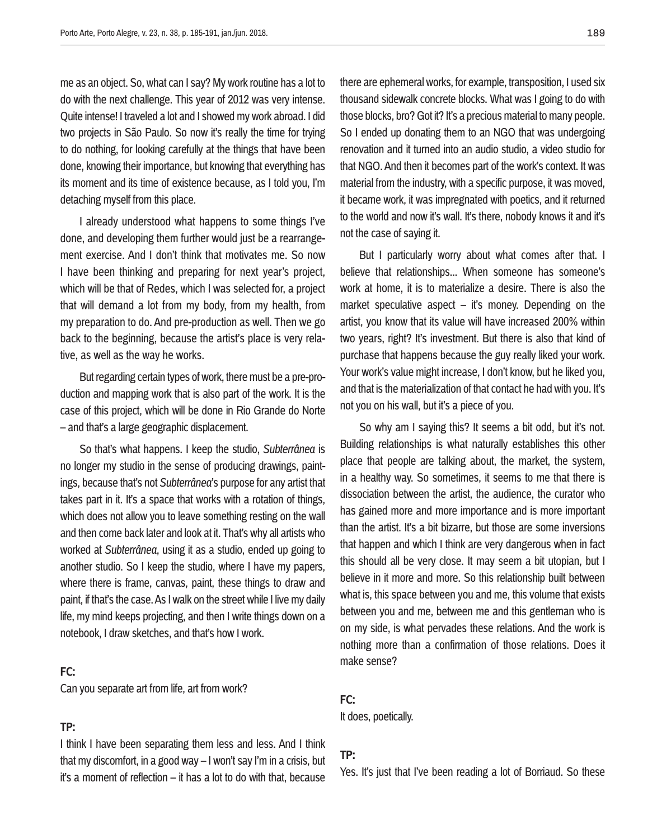me as an object. So, what can I say? My work routine has a lot to do with the next challenge. This year of 2012 was very intense. Quite intense! I traveled a lot and I showed my work abroad. I did two projects in São Paulo. So now it's really the time for trying to do nothing, for looking carefully at the things that have been done, knowing their importance, but knowing that everything has its moment and its time of existence because, as I told you, I'm detaching myself from this place.

I already understood what happens to some things I've done, and developing them further would just be a rearrangement exercise. And I don't think that motivates me. So now I have been thinking and preparing for next year's project, which will be that of Redes, which I was selected for, a project that will demand a lot from my body, from my health, from my preparation to do. And pre-production as well. Then we go back to the beginning, because the artist's place is very relative, as well as the way he works.

But regarding certain types of work, there must be a pre-production and mapping work that is also part of the work. It is the case of this project, which will be done in Rio Grande do Norte – and that's a large geographic displacement.

So that's what happens. I keep the studio, *Subterrânea* is no longer my studio in the sense of producing drawings, paintings, because that's not *Subterrânea*'s purpose for any artist that takes part in it. It's a space that works with a rotation of things, which does not allow you to leave something resting on the wall and then come back later and look at it. That's why all artists who worked at *Subterrânea*, using it as a studio, ended up going to another studio. So I keep the studio, where I have my papers, where there is frame, canvas, paint, these things to draw and paint, if that's the case. As I walk on the street while I live my daily life, my mind keeps projecting, and then I write things down on a notebook, I draw sketches, and that's how I work.

## **FC:**

Can you separate art from life, art from work?

## **TP:**

I think I have been separating them less and less. And I think that my discomfort, in a good way – I won't say I'm in a crisis, but it's a moment of reflection – it has a lot to do with that, because

there are ephemeral works, for example, transposition, I used six thousand sidewalk concrete blocks. What was I going to do with those blocks, bro? Got it? It's a precious material to many people. So I ended up donating them to an NGO that was undergoing renovation and it turned into an audio studio, a video studio for that NGO. And then it becomes part of the work's context. It was material from the industry, with a specific purpose, it was moved, it became work, it was impregnated with poetics, and it returned to the world and now it's wall. It's there, nobody knows it and it's not the case of saying it.

But I particularly worry about what comes after that. I believe that relationships... When someone has someone's work at home, it is to materialize a desire. There is also the market speculative aspect – it's money. Depending on the artist, you know that its value will have increased 200% within two years, right? It's investment. But there is also that kind of purchase that happens because the guy really liked your work. Your work's value might increase, I don't know, but he liked you, and that is the materialization of that contact he had with you. It's not you on his wall, but it's a piece of you.

So why am I saying this? It seems a bit odd, but it's not. Building relationships is what naturally establishes this other place that people are talking about, the market, the system, in a healthy way. So sometimes, it seems to me that there is dissociation between the artist, the audience, the curator who has gained more and more importance and is more important than the artist. It's a bit bizarre, but those are some inversions that happen and which I think are very dangerous when in fact this should all be very close. It may seem a bit utopian, but I believe in it more and more. So this relationship built between what is, this space between you and me, this volume that exists between you and me, between me and this gentleman who is on my side, is what pervades these relations. And the work is nothing more than a confirmation of those relations. Does it make sense?

#### **FC:**

It does, poetically.

#### **TP:**

Yes. It's just that I've been reading a lot of Borriaud. So these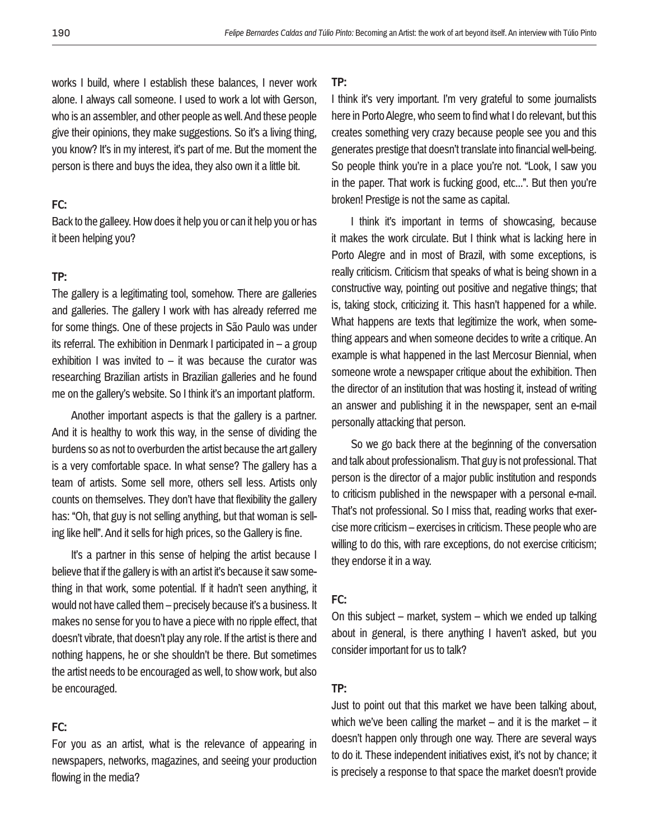works I build, where I establish these balances, I never work alone. I always call someone. I used to work a lot with Gerson, who is an assembler, and other people as well. And these people give their opinions, they make suggestions. So it's a living thing, you know? It's in my interest, it's part of me. But the moment the person is there and buys the idea, they also own it a little bit.

## **FC:**

Back to the galleey. How does it help you or can it help you or has it been helping you?

## **TP:**

The gallery is a legitimating tool, somehow. There are galleries and galleries. The gallery I work with has already referred me for some things. One of these projects in São Paulo was under its referral. The exhibition in Denmark I participated in – a group exhibition I was invited to  $-$  it was because the curator was researching Brazilian artists in Brazilian galleries and he found me on the gallery's website. So I think it's an important platform.

Another important aspects is that the gallery is a partner. And it is healthy to work this way, in the sense of dividing the burdens so as not to overburden the artist because the art gallery is a very comfortable space. In what sense? The gallery has a team of artists. Some sell more, others sell less. Artists only counts on themselves. They don't have that flexibility the gallery has: "Oh, that guy is not selling anything, but that woman is selling like hell". And it sells for high prices, so the Gallery is fine.

It's a partner in this sense of helping the artist because I believe that if the gallery is with an artist it's because it saw something in that work, some potential. If it hadn't seen anything, it would not have called them – precisely because it's a business. It makes no sense for you to have a piece with no ripple effect, that doesn't vibrate, that doesn't play any role. If the artist is there and nothing happens, he or she shouldn't be there. But sometimes the artist needs to be encouraged as well, to show work, but also be encouraged.

## **FC:**

For you as an artist, what is the relevance of appearing in newspapers, networks, magazines, and seeing your production flowing in the media?

#### **TP:**

I think it's very important. I'm very grateful to some journalists here in Porto Alegre, who seem to find what I do relevant, but this creates something very crazy because people see you and this generates prestige that doesn't translate into financial well-being. So people think you're in a place you're not. "Look, I saw you in the paper. That work is fucking good, etc...". But then you're broken! Prestige is not the same as capital.

I think it's important in terms of showcasing, because it makes the work circulate. But I think what is lacking here in Porto Alegre and in most of Brazil, with some exceptions, is really criticism. Criticism that speaks of what is being shown in a constructive way, pointing out positive and negative things; that is, taking stock, criticizing it. This hasn't happened for a while. What happens are texts that legitimize the work, when something appears and when someone decides to write a critique. An example is what happened in the last Mercosur Biennial, when someone wrote a newspaper critique about the exhibition. Then the director of an institution that was hosting it, instead of writing an answer and publishing it in the newspaper, sent an e-mail personally attacking that person.

So we go back there at the beginning of the conversation and talk about professionalism. That guy is not professional. That person is the director of a major public institution and responds to criticism published in the newspaper with a personal e-mail. That's not professional. So I miss that, reading works that exercise more criticism – exercises in criticism. These people who are willing to do this, with rare exceptions, do not exercise criticism; they endorse it in a way.

## **FC:**

On this subject – market, system – which we ended up talking about in general, is there anything I haven't asked, but you consider important for us to talk?

## **TP:**

Just to point out that this market we have been talking about, which we've been calling the market – and it is the market – it doesn't happen only through one way. There are several ways to do it. These independent initiatives exist, it's not by chance; it is precisely a response to that space the market doesn't provide